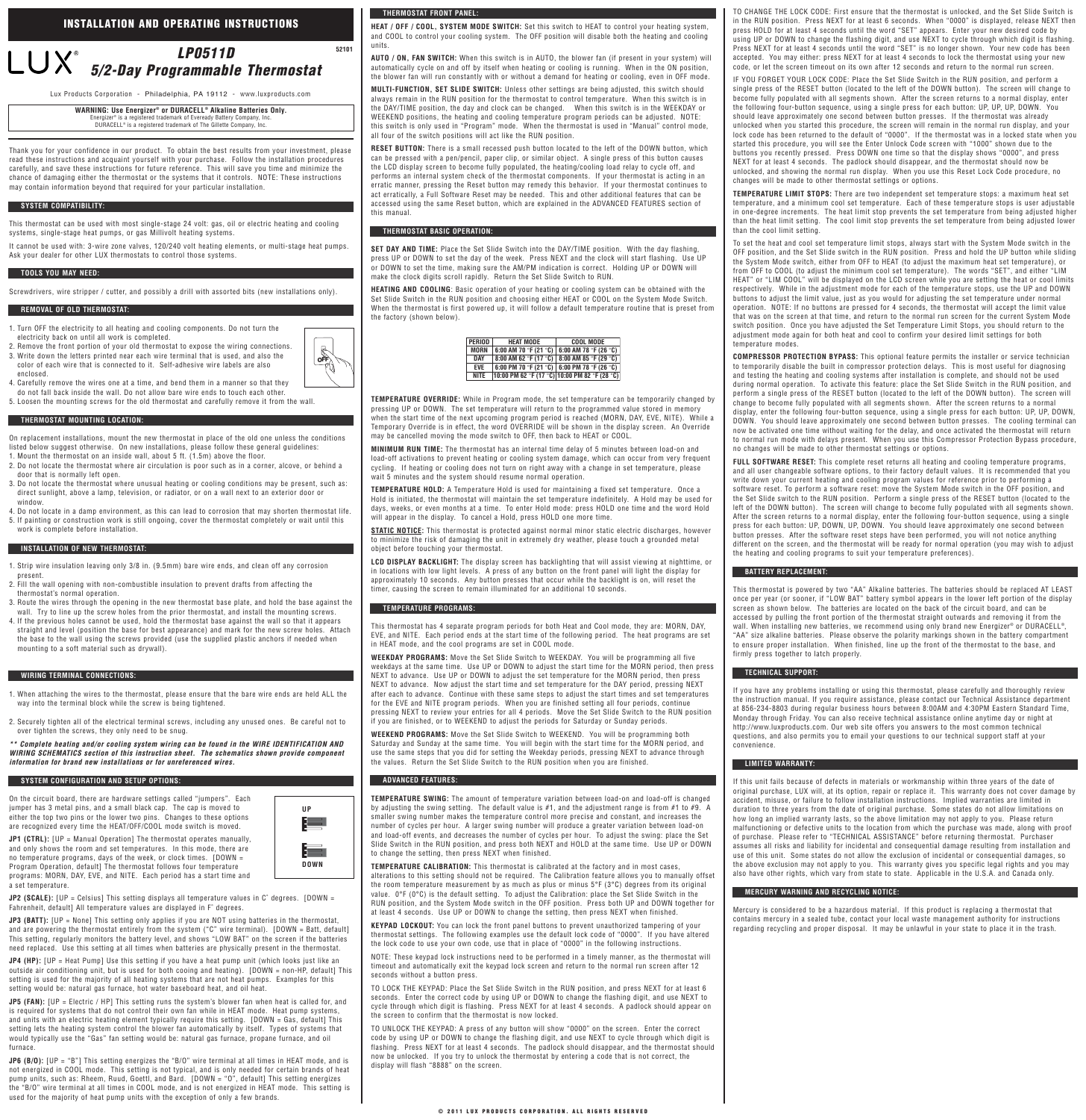Thank you for your confidence in our product. To obtain the best results from your investment, please read these instructions and acquaint yourself with your purchase. Follow the installation procedures carefully, and save these instructions for future reference. This will save you time and minimize the chance of damaging either the thermostat or the systems that it controls. NOTE: These instructions may contain information beyond that required for your particular installation.

This thermostat can be used with most single-stage 24 volt: gas, oil or electric heating and cooling systems, single-stage heat pumps, or gas Millivolt heating systems.

It cannot be used with: 3-wire zone valves, 120/240 volt heating elements, or multi-stage heat pumps. Ask your dealer for other LUX thermostats to control those systems.

Screwdrivers, wire stripper / cutter, and possibly a drill with assorted bits (new installations only).

- 1. Turn OFF the electricity to all heating and cooling components. Do not turn the electricity back on until all work is completed.
- 2. Remove the front portion of your old thermostat to expose the wiring connections. 3. Write down the letters printed near each wire terminal that is used, and also the color of each wire that is connected to it. Self-adhesive wire labels are also
- enclosed. 4. Carefully remove the wires one at a time, and bend them in a manner so that they do not fall back inside the wall. Do not allow bare wire ends to touch each other.
- 5. Loosen the mounting screws for the old thermostat and carefully remove it from the wall.
- 

On replacement installations, mount the new thermostat in place of the old one unless the conditions listed below suggest otherwise. On new installations, please follow these general guidelines: 1. Mount the thermostat on an inside wall, about 5 ft. (1.5m) above the floor.

2. Do not locate the thermostat where air circulation is poor such as in a corner, alcove, or behind a door that is normally left open.

3. Do not locate the thermostat where unusual heating or cooling conditions may be present, such as: direct sunlight, above a lamp, television, or radiator, or on a wall next to an exterior door or window.

**JP1 (CTRL):** [UP = Manual Operation] The thermostat operates manually, and only shows the room and set temperatures. In this mode, there are no temperature programs, days of the week, or clock times.  $[DOWN =$ Program Operation, default] The thermostat follows four temperature programs: MORN, DAY, EVE, and NITE. Each period has a start time and a set temperature.

**JP2 (SCALE):** [UP = Celsius] This setting displays all temperature values in C° degrees. [DOWN = Fahrenheit, default] All temperature values are displayed in F˚ degrees.

4. Do not locate in a damp environment, as this can lead to corrosion that may shorten thermostat life. 5. If painting or construction work is still ongoing, cover the thermostat completely or wait until this work is complete before installation.

**JP3 (BATT):** [UP = None] This setting only applies if you are NOT using batteries in the thermostat, and are powering the thermostat entirely from the system ("C" wire terminal). [DOWN = Batt, default] This setting, regularly monitors the battery level, and shows "LOW BAT" on the screen if the batteries need replaced. Use this setting at all times when batteries are physically present in the thermostat.

**JP4 (HP):** [UP = Heat Pump] Use this setting if you have a heat pump unit (which looks just like an outside air conditioning unit, but is used for both cooing and heating). [DOWN = non-HP, default] This setting is used for the majority of all heating systems that are not heat pumps. Examples for this setting would be: natural gas furnace, hot water baseboard heat, and oil heat.

- 1. Strip wire insulation leaving only 3/8 in. (9.5mm) bare wire ends, and clean off any corrosion present.
- 2. Fill the wall opening with non-combustible insulation to prevent drafts from affecting the thermostat's normal operation.
- 3. Route the wires through the opening in the new thermostat base plate, and hold the base against the wall. Try to line up the screw holes from the prior thermostat, and install the mounting screws.
- 4. If the previous holes cannot be used, hold the thermostat base against the wall so that it appears straight and level (position the base for best appearance) and mark for the new screw holes. Attach the base to the wall using the screws provided (use the supplied plastic anchors if needed when mounting to a soft material such as drywall).

**JP5 (FAN):** [UP = Electric / HP] This setting runs the system's blower fan when heat is called for, and is required for systems that do not control their own fan while in HEAT mode. Heat pump systems, and units with an electric heating element typically require this setting. [DOWN = Gas, default] This setting lets the heating system control the blower fan automatically by itself. Types of systems that would typically use the "Gas" fan setting would be: natural gas furnace, propane furnace, and oil furnace.

**JP6 (B/O):** [UP = "B"] This setting energizes the "B/O" wire terminal at all times in HEAT mode, and is not energized in COOL mode. This setting is not typical, and is only needed for certain brands of heat pump units, such as: Rheem, Ruud, Goettl, and Bard. [DOWN = "O", default] This setting energizes the "B/O" wire terminal at all times in COOL mode, and is not energized in HEAT mode. This setting is used for the majority of heat pump units with the exception of only a few brands.

- 1. When attaching the wires to the thermostat, please ensure that the bare wire ends are held ALL the way into the terminal block while the screw is being tightened.
- 2. Securely tighten all of the electrical terminal screws, including any unused ones. Be careful not to over tighten the screws, they only need to be snug.

**\*\* Complete heating and/or cooling system wiring can be found in the WIRE IDENTIFICATION AND WIRING SCHEMATICS section of this instruction sheet. The schematics shown provide component information for brand new installations or for unreferenced wires.**

On the circuit board, there are hardware settings called "jumpers". Each iumper has 3 metal pins, and a small black cap. The cap is moved to either the top two pins or the lower two pins. Changes to these options

are recognized every time the HEAT/OFF/COOL mode switch is moved.

**HEAT / OFF / COOL, SYSTEM MODE SWITCH:** Set this switch to HEAT to control your heating system, and COOL to control your cooling system. The OFF position will disable both the heating and cooling units.

**AUTO / ON, FAN SWITCH:** When this switch is in AUTO, the blower fan (if present in your system) will automatically cycle on and off by itself when heating or cooling is running. When in the ON position, the blower fan will run constantly with or without a demand for heating or cooling, even in OFF mode.

**MULTI-FUNCTION, SET SLIDE SWITCH:** Unless other settings are being adjusted, this switch should always remain in the RUN position for the thermostat to control temperature. When this switch is in the DAY/TIME position, the day and clock can be changed. When this switch is in the WEEKDAY or WEEKEND positions, the heating and cooling temperature program periods can be adjusted. NOTE: this switch is only used in "Program" mode. When the thermostat is used in "Manual" control mode, all four of the switch positions will act like the RUN position.

**RESET BUTTON:** There is a small recessed push button located to the left of the DOWN button, which can be pressed with a pen/pencil, paper clip, or similar object. A single press of this button causes the LCD display screen to become fully populated, the heating/cooling load relay to cycle off, and performs an internal system check of the thermostat components. If your thermostat is acting in an erratic manner, pressing the Reset button may remedy this behavior. If your thermostat continues to act erratically, a Full Software Reset may be needed. This and other additional features that can be accessed using the same Reset button, which are explained in the ADVANCED FEATURES section of this manual.

**SET DAY AND TIME:** Place the Set Slide Switch into the DAY/TIME position. With the day flashing, press UP or DOWN to set the day of the week. Press NEXT and the clock will start flashing. Use UP or DOWN to set the time, making sure the AM/PM indication is correct. Holding UP or DOWN will make the clock digits scroll rapidly. Return the Set Slide Switch to RUN.

**HEATING AND COOLING**: Basic operation of your heating or cooling system can be obtained with the Set Slide Switch in the RUN position and choosing either HEAT or COOL on the System Mode Switch. When the thermostat is first powered up, it will follow a default temperature routine that is preset from the factory (shown below).

**TEMPERATURE OVERRIDE:** While in Program mode, the set temperature can be temporarily changed by pressing UP or DOWN. The set temperature will return to the programmed value stored in memory when the start time of the next upcoming program period is reached (MORN, DAY, EVE, NITE). While a Temporary Override is in effect, the word OVERRIDE will be shown in the display screen. An Override may be cancelled moving the mode switch to OFF, then back to HEAT or COOL.

**MINIMUM RUN TIME:** The thermostat has an internal time delay of 5 minutes between load-on and load-off activations to prevent heating or cooling system damage, which can occur from very frequent cycling. If heating or cooling does not turn on right away with a change in set temperature, please wait 5 minutes and the system should resume normal operation.

**TEMPERATURE HOLD:** A Temperature Hold is used for maintaining a fixed set temperature. Once a Hold is initiated, the thermostat will maintain the set temperature indefinitely. A Hold may be used for days, weeks, or even months at a time. To enter Hold mode: press HOLD one time and the word Hold will appear in the display. To cancel a Hold, press HOLD one more time.

**STATIC NOTICE:** This thermostat is protected against normal minor static electric discharges, however to minimize the risk of damaging the unit in extremely dry weather, please touch a grounded metal object before touching your thermostat.

**LCD DISPLAY BACKLIGHT:** The display screen has backlighting that will assist viewing at nighttime, or in locations with low light levels. A press of any button on the front panel will light the display for approximately 10 seconds. Any button presses that occur while the backlight is on, will reset the timer, causing the screen to remain illuminated for an additional 10 seconds.

This thermostat has 4 separate program periods for both Heat and Cool mode, they are: MORN, DAY, EVE, and NITE. Each period ends at the start time of the following period. The heat programs are set in HEAT mode, and the cool programs are set in COOL mode.

**WEEKDAY PROGRAMS:** Move the Set Slide Switch to WEEKDAY. You will be programming all five weekdays at the same time. Use UP or DOWN to adjust the start time for the MORN period, then press NEXT to advance. Use UP or DOWN to adjust the set temperature for the MORN period, then press NEXT to advance. Now adjust the start time and set temperature for the DAY period, pressing NEXT after each to advance. Continue with these same steps to adjust the start times and set temperatures for the EVE and NITE program periods. When you are finished setting all four periods, continue pressing NEXT to review your entries for all 4 periods. Move the Set Slide Switch to the RUN position if you are finished, or to WEEKEND to adjust the periods for Saturday or Sunday periods.

**WEEKEND PROGRAMS:** Move the Set Slide Switch to WEEKEND. You will be programming both Saturday and Sunday at the same time. You will begin with the start time for the MORN period, and use the same steps that you did for setting the Weekday periods, pressing NEXT to advance through the values. Return the Set Slide Switch to the RUN position when you are finished.

**TEMPERATURE SWING:** The amount of temperature variation between load-on and load-off is changed by adjusting the swing setting. The default value is  $#1$ , and the adjustment range is from  $#1$  to  $#9$ . A smaller swing number makes the temperature control more precise and constant, and increases the

number of cycles per hour. A larger swing number will produce a greater variation between load-on and load-off events, and decreases the number of cycles per hour. To adjust the swing: place the Set Slide Switch in the RUN position, and press both NEXT and HOLD at the same time. Use UP or DOWN to change the setting, then press NEXT when finished.

**TEMPERATURE CALIBRATION:** This thermostat is calibrated at the factory and in most cases, alterations to this setting should not be required. The Calibration feature allows you to manually offset the room temperature measurement by as much as plus or minus 5°F (3°C) degrees from its original value. 0°F (0°C) is the default setting. To adjust the Calibration: place the Set Slide Switch in the RUN position, and the System Mode switch in the OFF position. Press both UP and DOWN together for at least 4 seconds. Use UP or DOWN to change the setting, then press NEXT when finished.

**KEYPAD LOCKOUT:** You can lock the front panel buttons to prevent unauthorized tampering of your thermostat settings. The following examples use the default lock code of "0000". If you have altered the lock code to use your own code, use that in place of "0000" in the following instructions.

NOTE: These keypad lock instructions need to be performed in a timely manner, as the thermostat will timeout and automatically exit the keypad lock screen and return to the normal run screen after 12 seconds without a button press.

TO LOCK THE KEYPAD: Place the Set Slide Switch in the RUN position, and press NEXT for at least 6 seconds. Enter the correct code by using UP or DOWN to change the flashing digit, and use NEXT to cycle through which digit is flashing. Press NEXT for at least 4 seconds. A padlock should appear on the screen to confirm that the thermostat is now locked.

TO UNLOCK THE KEYPAD: A press of any button will show "0000" on the screen. Enter the correct code by using UP or DOWN to change the flashing digit, and use NEXT to cycle through which digit is flashing. Press NEXT for at least 4 seconds. The padlock should disappear, and the thermostat should now be unlocked. If you try to unlock the thermostat by entering a code that is not correct, the display will flash "8888" on the screen.

TO CHANGE THE LOCK CODE: First ensure that the thermostat is unlocked, and the Set Slide Switch is in the RUN position. Press NEXT for at least 6 seconds. When "0000" is displayed, release NEXT then press HOLD for at least 4 seconds until the word "SET" appears. Enter your new desired code by using UP or DOWN to change the flashing digit, and use NEXT to cycle through which digit is flashing. Press NEXT for at least 4 seconds until the word "SET" is no longer shown. Your new code has been accepted. You may either: press NEXT for at least 4 seconds to lock the thermostat using your new code, or let the screen timeout on its own after 12 seconds and return to the normal run screen.

IF YOU FORGET YOUR LOCK CODE: Place the Set Slide Switch in the RUN position, and perform a single press of the RESET button (located to the left of the DOWN button). The screen will change to become fully populated with all segments shown. After the screen returns to a normal display, enter the following four-button sequence, using a single press for each button: UP, UP, UP, DOWN. You should leave approximately one second between button presses. If the thermostat was already unlocked when you started this procedure, the screen will remain in the normal run display, and your lock code has been returned to the default of "0000". If the thermostat was in a locked state when you started this procedure, you will see the Enter Unlock Code screen with "1000" shown due to the buttons you recently pressed. Press DOWN one time so that the display shows "0000", and press NEXT for at least 4 seconds. The padlock should disappear, and the thermostat should now be unlocked, and showing the normal run display. When you use this Reset Lock Code procedure, no changes will be made to other thermostat settings or options.

**TEMPERATURE LIMIT STOPS:** There are two independent set temperature stops: a maximum heat set temperature, and a minimum cool set temperature. Each of these temperature stops is user adjustable in one-degree increments. The heat limit stop prevents the set temperature from being adjusted higher than the heat limit setting. The cool limit stop prevents the set temperature from being adjusted lower than the cool limit setting.

To set the heat and cool set temperature limit stops, always start with the System Mode switch in the OFF position, and the Set Slide switch in the RUN position. Press and hold the UP button while sliding the System Mode switch, either from OFF to HEAT (to adjust the maximum heat set temperature), or from OFF to COOL (to adjust the minimum cool set temperature). The words "SET", and either "LIM HEAT" or "LIM COOL" will be displayed on the LCD screen while you are setting the heat or cool limits respectively. While in the adjustment mode for each of the temperature stops, use the UP and DOWN buttons to adjust the limit value, just as you would for adjusting the set temperature under normal operation. NOTE: If no buttons are pressed for 4 seconds, the thermostat will accept the limit value that was on the screen at that time, and return to the normal run screen for the current System Mode switch position. Once you have adjusted the Set Temperature Limit Stops, you should return to the adjustment mode again for both heat and cool to confirm your desired limit settings for both temperature modes.

**COMPRESSOR PROTECTION BYPASS:** This optional feature permits the installer or service technician to temporarily disable the built in compressor protection delays. This is most useful for diagnosing and testing the heating and cooling systems after installation is complete, and should not be used during normal operation. To activate this feature: place the Set Slide Switch in the RUN position, and perform a single press of the RESET button (located to the left of the DOWN button). The screen will change to become fully populated with all segments shown. After the screen returns to a normal display, enter the following four-button sequence, using a single press for each button: UP, UP, DOWN, DOWN. You should leave approximately one second between button presses. The cooling terminal can now be activated one time without waiting for the delay, and once activated the thermostat will return to normal run mode with delays present. When you use this Compressor Protection Bypass procedure, no changes will be made to other thermostat settings or options.

**FULL SOFTWARE RESET:** This complete reset returns all heating and cooling temperature programs, and all user changeable software options, to their factory default values. It is recommended that you write down your current heating and cooling program values for reference prior to performing a software reset. To perform a software reset: move the System Mode switch in the OFF position, and the Set Slide switch to the RUN position. Perform a single press of the RESET button (located to the left of the DOWN button). The screen will change to become fully populated with all segments shown. After the screen returns to a normal display, enter the following four-button sequence, using a single press for each button: UP, DOWN, UP, DOWN. You should leave approximately one second between button presses. After the software reset steps have been performed, you will not notice anything different on the screen, and the thermostat will be ready for normal operation (you may wish to adjust the heating and cooling programs to suit your temperature preferences).

This thermostat is powered by two "AA" Alkaline batteries. The batteries should be replaced AT LEAST once per year (or sooner, if "LOW BAT" battery symbol appears in the lower left portion of the display screen as shown below. The batteries are located on the back of the circuit board, and can be accessed by pulling the front portion of the thermostat straight outwards and removing it from the wall. When installing new batteries, we recommend using only brand new Energizer® or DURACELL®, "AA" size alkaline batteries. Please observe the polarity markings shown in the battery compartment to ensure proper installation. When finished, line up the front of the thermostat to the base, and firmly press together to latch properly.

If you have any problems installing or using this thermostat, please carefully and thoroughly review the instruction manual. If you require assistance, please contact our Technical Assistance department at 856-234-8803 during regular business hours between 8:00AM and 4:30PM Eastern Standard Time, Monday through Friday. You can also receive technical assistance online anytime day or night at http://www.luxproducts.com. Our web site offers you answers to the most common technical questions, and also permits you to email your questions to our technical support staff at your convenience.

If this unit fails because of defects in materials or workmanship within three years of the date of original purchase, LUX will, at its option, repair or replace it. This warranty does not cover damage by accident, misuse, or failure to follow installation instructions. Implied warranties are limited in duration to three years from the date of original purchase. Some states do not allow limitations on how long an implied warranty lasts, so the above limitation may not apply to you. Please return malfunctioning or defective units to the location from which the purchase was made, along with proof of purchase. Please refer to "TECHNICAL ASSISTANCE" before returning thermostat. Purchaser assumes all risks and liability for incidental and consequential damage resulting from installation and use of this unit. Some states do not allow the exclusion of incidental or consequential damages, so the above exclusion may not apply to you. This warranty gives you specific legal rights and you may also have other rights, which vary from state to state. Applicable in the U.S.A. and Canada only.

Mercury is considered to be a hazardous material. If this product is replacing a thermostat that contains mercury in a sealed tube, contact your local waste management authority for instructions regarding recycling and proper disposal. It may be unlawful in your state to place it in the trash.













| PERIOD      | <b>HEAT MODE</b>                              | COOL MODE |
|-------------|-----------------------------------------------|-----------|
| <b>MORN</b> | 6:00 AM 70 °F (21 °C)   6:00 AM 78 °F (26 °C) |           |
| <b>DAY</b>  | 8:00 AM 62 °F (17 °C)   8:00 AM 85 °F (29 °C) |           |
| <b>EVF</b>  | 6:00 PM 70 °F (21 °C)   6:00 PM 78 °F (26 °C) |           |
| <b>NITE</b> | 10:00 PM 62 °F (17 °C) 10:00 PM 82 °F (28 °C) |           |

**WARNING: Use Energizer® or DURACELL® Alkaline Batteries Only.** Energizer® is a registered trademark of Eveready Battery Company, Inc. DURACELL® is a registered trademark of The Gillette Company, Inc.

Lux Products Corporation - Philadelphia, PA 19112 - www.luxproducts.com

#### **TOOLS YOU MAY NEED:**

#### **REMOVAL OF OLD THERMOSTAT:**

#### **SYSTEM COMPATIBILITY:**

## **THERMOSTAT MOUNTING LOCATION:**

### **INSTALLATION OF NEW THERMOSTAT:**

#### **THERMOSTAT BASIC OPERATION:**

#### **TEMPERATURE PROGRAMS:**

# **THERMOSTAT FRONT PANEL:**

#### **ADVANCED FEATURES:**

## **WIRING TERMINAL CONNECTIONS:**

# **SYSTEM CONFIGURATION AND SETUP OPTIONS:**

#### **BATTERY REPLACEMENT:**

#### **TECHNICAL SUPPORT:**

#### **LIMITED WARRANTY:**

#### **MERCURY WARNING AND RECYCLING NOTICE:**